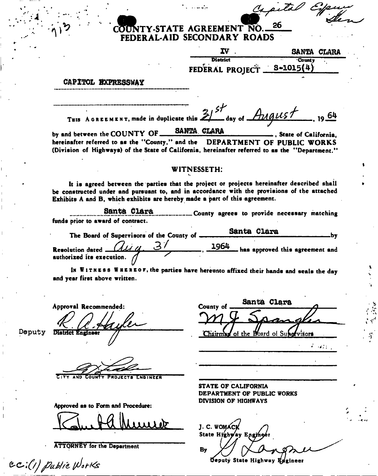## **TY-STATE AGREEMENT NO. 26 FEDERAL-AID SECONDARY ROADS**

| IV.                          | SANTA CLARA |  |
|------------------------------|-------------|--|
| <b>District</b>              | County      |  |
| FEDERAL PROJECT __ S-1015(4) |             |  |

Capital

## CAPITOL EXPRESSWAY

|                                                                                                                                                                           | THIS AGREEMENT, made in duplicate this $21^{57}$ day of $\sqrt{214915}$ , 1964            |
|---------------------------------------------------------------------------------------------------------------------------------------------------------------------------|-------------------------------------------------------------------------------------------|
| by and between the COUNTY OF SANTA CLARA CLARA . State of California,                                                                                                     |                                                                                           |
| hereinafter referred to as the "County," and the DEPARTMENT OF PUBLIC WORKS                                                                                               |                                                                                           |
| (Division of Highways) of the State of California, hereinafter referred to as the "Department."                                                                           |                                                                                           |
| <b>WITNESSETH:</b>                                                                                                                                                        |                                                                                           |
| be constructed under and pursuant to, and in accordance with the provisions of the attached<br>Exhibits A and B, which exhibits are hereby made a part of this agreement. | It is agreed between the parties that the project or projects hereinafter described shall |
| funds prior to award of contract.                                                                                                                                         | Santa Clara  County agrees to provide necessary matching                                  |
| The Board of Supervisors of the County of Santa Clara                                                                                                                     |                                                                                           |
| Resolution dated $\frac{d\mu}{d}$ , $\frac{3}{4}$ , $\frac{1964}{4}$ has approved this agreement and authorized its execution.                                            |                                                                                           |
|                                                                                                                                                                           | IN WITNESS WHEREOF, the parties have hereunto affixed their hands and seals the day       |

and year first above written.

Approval Recommended: Deputy District Engineer

PROJECTS ENGINEER

Approved as to Form and Procedure:

ATTORNEY for the Department

*e-c\*;{/Ji/J\*rKs* 

STATE OP CALIFORNIA

Chairman of the Board of Supervisors

 $\mathcal{L}_{\mathbf{I}}$ 

 $\mathcal{L} = \{ \mathcal{L} \}$  .

DEPARTMENT OF PUBLIC WORKS DIVISION OF HIGHWAYS

County of Santa Clara

J. C. WOMAC State Highway Engine **By** 

Deputy State Highway Engineer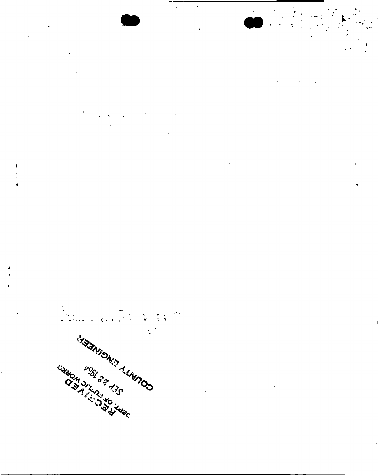

 $\blacksquare$ 

 $\frac{1}{4}$  ,  $\frac{1}{2}$ 

 $\bullet\bullet$  $\ddot{\phantom{a}}$ STATISHIS ALAMOD  $\ddot{\phantom{a}}$ UNDOM DITURN TO JUDE **PSCL CASE**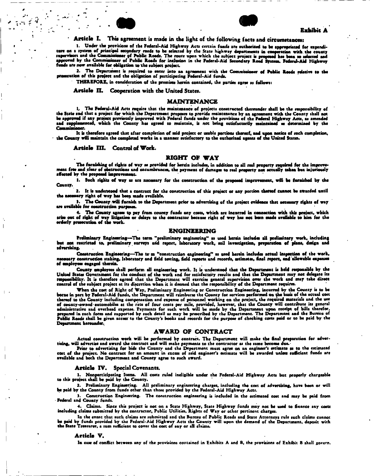



Article I. This agreement is made in the light of the following facts and circumstances;

1. Under the provisions of the Federal-Aid Highway Acts ccrcsin funds arc authorized to be appropriated for expenditure on a system of principal secondary roads to be selected by the State highway departments in cooperation with the county<br>supervisors and the Commissioner of Public Roads. The route upon which the subject project is pro funds are now available for obligation to the subject project.

2. The Department is required to enter into an agreement with the Commissioner of Public Roeds relative to the proeecution of thia project and the obligation of participating Federal-Aid funds.

THEREFORE, in consideration of the premises herein contained, the parties agree as follows:

Article II. Cooperation with the United States.

#### MAINTENANCE

l, The Federal-Aid Acts require that the maintenance of projects constructed thereunder shall be the responsibility of<br>the State and that a project for which the Department proposes to provide maintenance by an agreement w and suppremented, which the County improved with Federal funds under the provisions of the Federal Highway Acts, as amended<br>and supplemented, which the County has agreed to maintain, is not being satisfactorily maintained

It is therefore agreed that after completion of said project or usable portions thereof, and upon notice of such completion,<br>the County will maintain the completed works in a manner satisfactory to the euthorized agents of

Article III. Control of Work.

#### RIGHT OF WAY

The furnishing of rights of way as provided for herein includes, in addition to all real property required lor the improvement free and dear of obstructions and encumbrances, the payment of damages to real property not actually taken but injuriously affected by the proposed improvement.

1. Such rights of way as are necessary for the construction of the proposed improvement, will be furnished by the County.

2. It la understood that a contract for the construction of thia project or any portion thereof cannot be awarded until tho necessary right of way has been made available.

>• The County.will furnish to the Department prior to advertising of the project evidence that necessary rights of way are available for construction purposes.

The County agrees to pay from county funds any costs, which are incurred in connection with this project, which arise out of right of way litigation or delays to the contractor because right of way has not been made available to him for the orderly prosecution of the work.

#### ENGINEERING

Preliminary Engineering--The term "preliminary engineering" as used herein includes all preliminary work, including<br>but not reatricted to, preliminary surveys and report, laboratory work, soil investigation, preparation of

Construction Engineering—The te m "construction engineering\*' as used herein includes actual inspection of the work, necessary construction staking, laboratory and field testing, field reports and records, estimates, final report, and allowable expenses of employees engaged therein.

County employees shall perform all enginsering work. It is understood that the Department is held responsible by the<br>United States Government for the conduct of the work and for satisfactory results and that the Department responsibility. It is therefore agreed that the Department will exercise general supervision over the work and may take direct control of the subject project at its discretion when it is deemed that the responsibility of the Department requires.

When the cost of Right of Way, Preliminary Engineering or Construction Engineering, incurred by the County is to be borne in part by Federal-Aid funds, the Department will reimburse the County for services performed on ^he basis of the ectual cost thereof to the County including compensation and expense of personnel working on the project, the required materials and the use of county-owned automobiles at the rate of four cents per mile, provided, however, that the County will contribute its general<br>prepared in such forms and overhead expense. Payments for such work will be made by the Departm Department hereunder.

#### AWARD OF CONTRACT

Actual construction work will be performed by contract. The Department will make the final preparation for advertising, will advertise and award the contract and will make payments to the contractor as the same become due.

Prior to advertising for bids the County and the Department must agree on an engineer's estimate as to the estimated cost of the project. No contract for an amount in excess of said engineer's estimate will be awarded unless sufficient funds are<br>available and both the Department and County agree to such award.

#### Article TV. Special Covenants.

1. Nonpartlcipating Items. All costs ruled ineligible under the Federal-Aid Highway Acta but properly chargeable to this project shall be paid by the County.

2. Preliminary Engineering. All preliminary engineering charges, including the cost of advertising, have been or will be paid by the County from funds other than those provided by the Federal-Aid Highway Acts.

). Construction Engineering. The construction engineering is included in the estimated cost and may be paid from Federal and County funds.

4. Claims. Since this project is not on a State Highway, State Highway funds may not be used to finance any costs including claims submitted by the contractor. Public Utilities, Rights of Way or other pertinent charges.

In the event that such claims are submitted and the Bureau of Public Roads and State Attorneys rule such claims cannot be paid by funds provided by the Federal-Aid Highway Acts the County will upon the demand of the Department, deposit with<br>the State Treasurer, a sum sufficient to cover the cost of any or all claims.

#### Article V.

In case of conflict between any of the provisions contained in Exhibits A and B, the provisions of Exhibit B shall govern.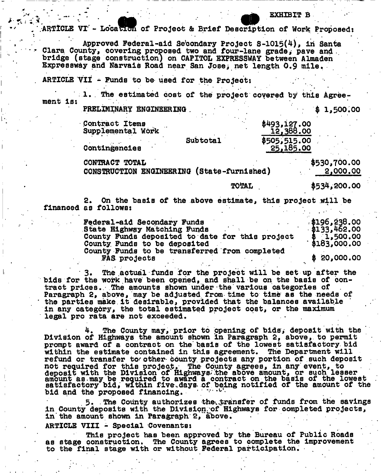### EXHIBIT B

ARTICLE VI - Location of Project & Brief Description of Work Proposed: Approved Federal-aid Secondary Project  $S-1015(4)$ , in Santa Clara County, covering proposed two and four-lane grade, pave and . bridge (stage construction) on CAPITOL EXPRESSWAY between Almaden Expressway and Narvais Road near San Josei net length 0.9 mile. ARTICLE VII - Funds to be used for the Project: 1. The estimated cost of the project covered by this Agreement is: PRELIMINARY ENGINEERING .  $\qquad 31.500.00$ Contract Items \$493,127.00<br>Supplemental Work 12,388.00 Supplemental Work Subtotal \$505,515.00<br>25,185.00 .25 Contingencies CONTRACT TOTAL CONTRACT TOTAL \$530,700.00<br>CONSTRUCTION ENGINEERING (State-furnished) 2,000.00 CONSTRUCTION ENGINEERING (State-furnished) TOTAL  $$534,200.00$ 

2. On the basis of the above estimate, this projeot will be financed as follows:

| Federal-aid Secondary Funds                     | \$196,238.00                |
|-------------------------------------------------|-----------------------------|
| State Highway Matching Funds                    | $\sqrt{3133}$ , 462.00      |
| County Funds deposited to date for this project | \$ 1,500.00<br>\$183,000.00 |
| County Funds to be deposited                    |                             |
| County Funds to be transferred from completed   |                             |
| FAS projects                                    | \$20,000.00                 |

The actual funds for the project will be set up after the bids for the work have been opened, and shall be on the basis of contract prices. The amounts shown under-the various categories of Paragraph 2, above, may be adjusted from time to time as the needs of the parties make it desirable, provided that the balances available in any category, the total estimated project cost, or the maximum legal pro rata are not exceeded.

4. The County may, prior to opening of bids, deposit with the Division of Highways the amount shown in Paragraph 2, above, to permit prompt award of a contract on the basis of the lowest satisfactory bid within the estimate contained in this agreement. The Department will refund or transfer to' other- county projects, any portion of such deposit not required for this project. The County agrees, in any event, to deposit with the Division of Highways' the above amount, or such lesser amount as.may be required to award a contract on the basis of the lowest satisfactory bid, within five.days of being notified of the amount of the bid and the proposed financing.

5. The County authorizes the transfer of funds from the savings in County deposits with the Division of Highways for completed projects, in the amount shown in Paragraph 2, above.

ARTICLE VIII - Special Covenants:

This project has been approved by the Bureau of Public Roads as stage construction. The County agrees to complete the Improvement to the final stage with or without Federal participation.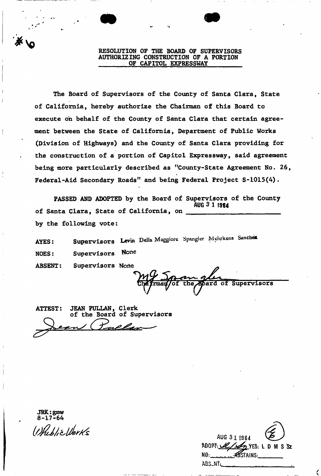RESOLUTION OF THE BOARD OF SUPERVISORS AUTHORIZING CONSTRUCTION OF A PORTION OF CAPITOL EXPRESSWAY

The Board of Supervisors of the County of Santa Clara, State of California, hereby authorize the Chairman of this Board to execute oh behalf of the County of Santa Clara that certain agreement between the State of California, Department of Public Works (Division of Highways) and the County of Santa Clara providing for the construction of a portion of Capitol Expressway, said agreement being more particularly described as "County-State Agreement No- 26, Federal-Aid Secondary Roads" and being Federal Project S-1015(4).

PASSED AND ADOPTED by the Board of Supervisors of the County **AUG 3 1 1984** of Santa Clara, State of California, on by the following vote:

Supervisors Levin Della Maggiore Spangler Mehrkens Sanches **AYES:** NOES: Supervisors None ABSENT: Supervisors None

the Board of Supervisors

| ATTEST: JEAN PULLAN, Clerk<br>of the Board of Supervisors |
|-----------------------------------------------------------|
|                                                           |
| Lean (Tallan                                              |
|                                                           |

JRK:gmw 8-17-64

| AUG 31 1964                       |
|-----------------------------------|
| ADOPT: <u>Ulls</u> YES: LD M S SZ |
| ABSTAINS:<br>NO: .                |
| ABS_NT:                           |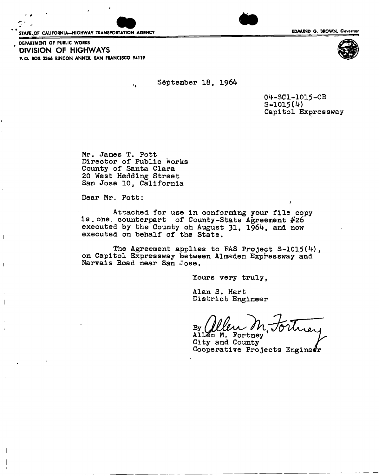STATE OF CALIFORNIA-HIGHWAY TRANSPORTATION AGENCY **EDITION CONTACT CONTACT CONTACT CONTRACT CONTRACT CONTRACT CON** 



DEPARTMENT OF PUBLIC WORKS **' DIVISION OF HIGHWAYS**  P.O. BOX 3366 R1NCON ANNEX, SAN FRANCISCO 94119

September 18, 1964

04-SC1-1015-CR  $S-1015(4)$ Capitol Expressway

Mr. James T. Pott Director of Public Works County of Santa Clara 20 West Hedding Street San Jose 10, California

 $\mathbf{C}$ 

Dear Mr. Pott:

 $\mathbf{I}$ 

 $\overline{1}$ 

Attached for use in conforming your file copy is. one. counterpart of County-State Agreement **#26**  executed by the County on August 31, 1964, and now executed on behalf of the State.

The Agreement applies to FAS Project S-1015(4), on Capitol Expressway between Almaden Expressway and Narvais Road near San Jose,

Yours very truly,

*m* 

Alan S. Hart District Engineer

 $\mathbf{By}$ 

Allen M. Fortney City and County Cooperative Projects Enginedr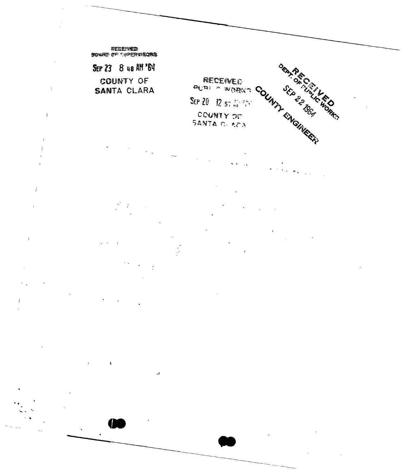

 $\dot{I}$ 

 $\bar{t}$ 

 $\boldsymbol{l}$ 

د،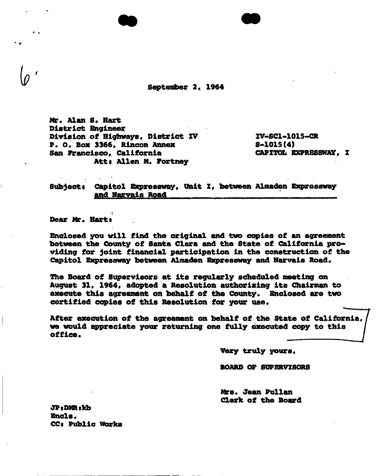**September 2, 1964** 

Mr. Alan **8. Hart District Engineer Division of Highways, District XV XV<\*8C1-1015-CR P. 0. Box 3366, Rincon Annex 8\*1015(4)**  San Francisco, California **Atti Allen M, Portney** 

Subject: Capitol Expressway, Unit I, between Almaden Expressway and Narvais Road

**Dear Mr. Harti** 

**Enclosed you will find the original and two copies of an agreement between the County of Santa Clara and the State of California providing for joint financial participation in the construction of the Capitol Expressway between Almaden Expressway and filarvais Road.** 

**The Board of Supervisors at its regularly scheduled meeting on August 31, 1964, adopted a Resolution authorising its Chairman to execute this agreement on behalf of the County. Enclosed are two certified copies of this Resolution for your use.** 

**After execution of the agreement on behalf of the State of California we would appreciate your returning one fully executed copy to this office.** 

**Very truly yours,** 

**BOARD OP SUPERVISORS** 

**Mrs. Jean Pullan Cleric of the Board** 

**JPsDMRiKb Ends. CCi Public Works**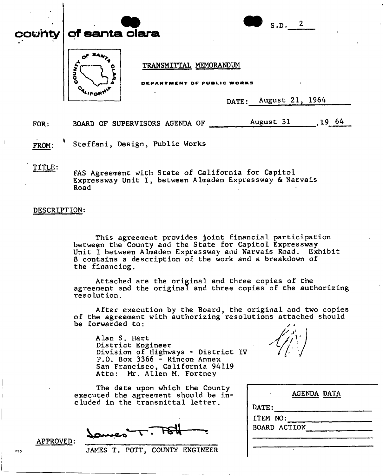| county $ $ of santa clara | S.D. 2                                                                           |
|---------------------------|----------------------------------------------------------------------------------|
| Q<br>О                    | TRANSMITTAL MEMORANDUM<br>DEPARTMENT OF PUBLIC WORKS<br>August 21, 1964<br>DATE: |

FOR: BOARD OF SUPERVISORS AGENDA OF August 31, 19 64

**FROM:** Steffani, Design, Public Works

## **TITLE:**

FAS Agreement with State of California for Capitol Expressway Unit I, between Almaden Expressway & Narvais Road

## **DESCRIPTION:**

This agreement provides joint financial participation between the County and the State for Capitol Expressway Unit I between Almaden Expressway and Narvais Road. Exhibit B contains a description of the work and a breakdown of the financing.

Attached are the original and three copies of the agreement and the original and three copies of the authorizing resolution.

After execution by the Board, the original and two copies of the agreement with authorizing resolutions attached should be forwarded to:

Alan S. Hart District Engineer Division of Highways - District **IV**  P.O. Box 3366 - Rincon Annex San Francisco, California 94119 Attn: Mr. Allen M. Fortney

The date upon which the County executed the agreement should be included in the transmittal letter.

755 **JAMES T. POTT, COUNTY ENGINEER** 



| AGENDA DATA         |
|---------------------|
| DATE:               |
| ITEM NO:            |
| <b>BOARD ACTION</b> |
|                     |
|                     |

**APPROVED:**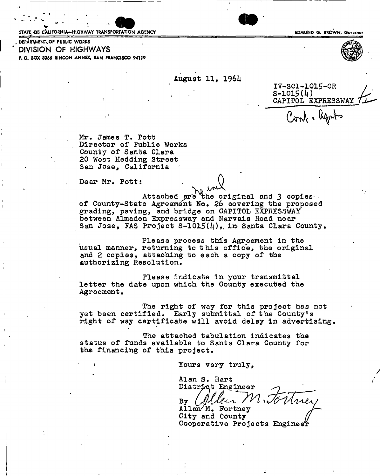**V**<br>
STATE OB CALIFORNIA—HIGHWAY TRANSPORTATION AGENCY **EDMUND G. BROWN, Governor** 

DEPARTMENT, OF PUBLIC WORKS **DIVISION OF HIGHWAYS**  P.O. BOX 3366 RINCON ANNEX, SAN FRANCISCO 94119

August 11, 19614



IV-SC1-1015-CR  $S-1015(4)$ CAPITOL EXPRESSWAY Conf. Reports

Mr. James T. Pott Director of Public Works County of Santa Clara 20 West Hedding Street San Jose, California

Dear Mr, Pott

Attached are the original and 3 copies. of County-State Agreement No. 26 covering the proposed grading, paving, and bridge on CAPITOL EXPRESSWAY grading, paving, and origge on CAPITOL EXPRESSWAI between Almaden Expressway and Narvais Road near San Jose, FAS Project S-1015( $l_1$ ), in Santa Clara County.

Please process this Agreement in the usual manner, returning to this office, the original and 2 copies, attaching to each a copy of the authorizing Resolution,

Please indicate in your transmittal letter the date upon which the County executed the Agreement,

The right of way for this project has not yet been certified. Early submittal of the County's right of way certificate will avoid delay in advertising

The attached tabulation indicates the status of funds available to Santa Clara County for the financing of this project.

Yours very truly,

Alan S. Hart District Engineer By *Collean Mi* nei

Allen<sup>/M</sup>. Fortney  $City$  and  $County$  ( Cooperative Projects Engine^